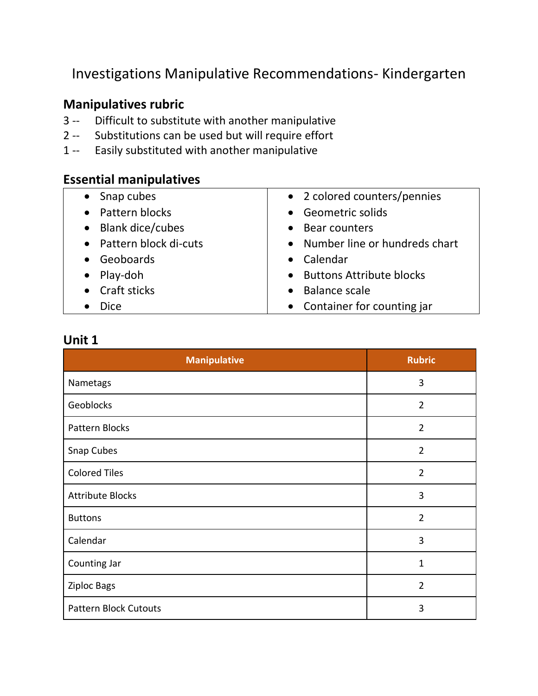Investigations Manipulative Recommendations- Kindergarten

#### **Manipulatives rubric**

- 3 -- Difficult to substitute with another manipulative
- 2 -- Substitutions can be used but will require effort
- 1 -- Easily substituted with another manipulative

#### **Essential manipulatives**

| • Snap cubes            | • 2 colored counters/pennies      |
|-------------------------|-----------------------------------|
| • Pattern blocks        | • Geometric solids                |
| • Blank dice/cubes      | • Bear counters                   |
| • Pattern block di-cuts | • Number line or hundreds chart   |
| • Geoboards             | • Calendar                        |
| $\bullet$ Play-doh      | • Buttons Attribute blocks        |
| • Craft sticks          | <b>Balance scale</b><br>$\bullet$ |
| <b>Dice</b>             | • Container for counting jar      |

| <b>Manipulative</b>          | <b>Rubric</b>  |
|------------------------------|----------------|
| Nametags                     | 3              |
| Geoblocks                    | $\overline{2}$ |
| Pattern Blocks               | $\overline{2}$ |
| Snap Cubes                   | $\overline{2}$ |
| <b>Colored Tiles</b>         | $\overline{2}$ |
| <b>Attribute Blocks</b>      | 3              |
| <b>Buttons</b>               | $\overline{2}$ |
| Calendar                     | 3              |
| Counting Jar                 | $\mathbf{1}$   |
| <b>Ziploc Bags</b>           | $\overline{2}$ |
| <b>Pattern Block Cutouts</b> | 3              |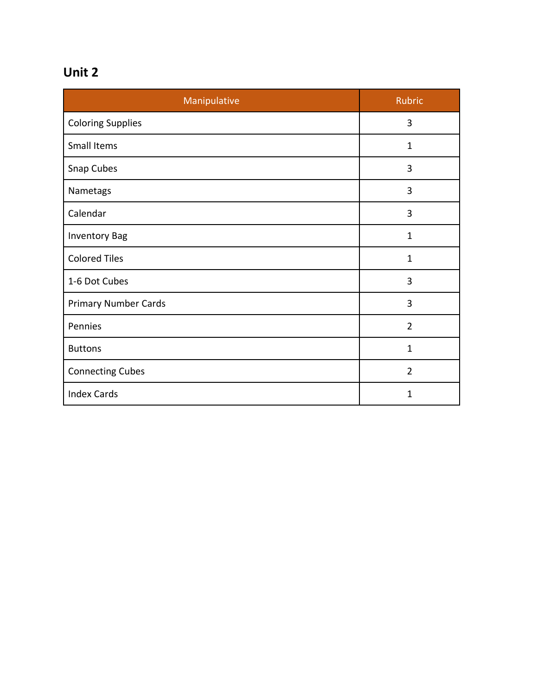| Manipulative                | <b>Rubric</b>  |
|-----------------------------|----------------|
| <b>Coloring Supplies</b>    | 3              |
| Small Items                 | 1              |
| Snap Cubes                  | 3              |
| Nametags                    | 3              |
| Calendar                    | 3              |
| <b>Inventory Bag</b>        | $\mathbf{1}$   |
| <b>Colored Tiles</b>        | $\mathbf{1}$   |
| 1-6 Dot Cubes               | 3              |
| <b>Primary Number Cards</b> | 3              |
| Pennies                     | $\overline{2}$ |
| <b>Buttons</b>              | 1              |
| <b>Connecting Cubes</b>     | $\overline{2}$ |
| <b>Index Cards</b>          | 1              |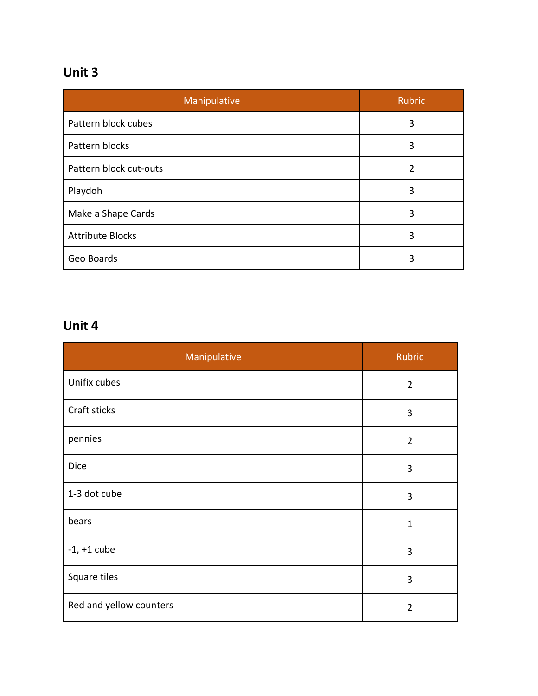| Manipulative            | Rubric         |
|-------------------------|----------------|
| Pattern block cubes     | 3              |
| Pattern blocks          | 3              |
| Pattern block cut-outs  | $\overline{2}$ |
| Playdoh                 | 3              |
| Make a Shape Cards      | 3              |
| <b>Attribute Blocks</b> | 3              |
| Geo Boards              | 3              |

| Manipulative            | Rubric         |
|-------------------------|----------------|
| Unifix cubes            | $\overline{2}$ |
| Craft sticks            | 3              |
| pennies                 | $\overline{2}$ |
| Dice                    | 3              |
| 1-3 dot cube            | 3              |
| bears                   | $\mathbf{1}$   |
| $-1$ , $+1$ cube        | 3              |
| Square tiles            | 3              |
| Red and yellow counters | $\overline{2}$ |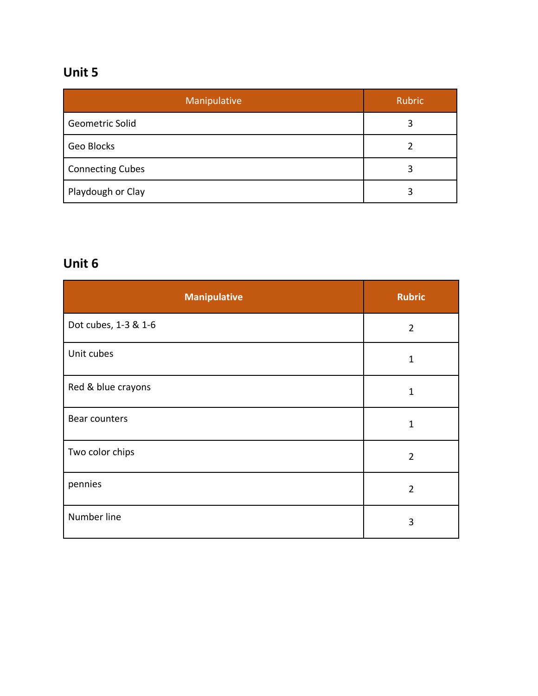| Manipulative            | <b>Rubric</b> |
|-------------------------|---------------|
| <b>Geometric Solid</b>  | 3             |
| Geo Blocks              |               |
| <b>Connecting Cubes</b> | 3             |
| Playdough or Clay       | 3             |

| <b>Manipulative</b>  | <b>Rubric</b>  |
|----------------------|----------------|
| Dot cubes, 1-3 & 1-6 | $\overline{2}$ |
| Unit cubes           | $\mathbf 1$    |
| Red & blue crayons   | $\mathbf 1$    |
| Bear counters        | $\mathbf{1}$   |
| Two color chips      | $\overline{2}$ |
| pennies              | $\overline{2}$ |
| Number line          | 3              |